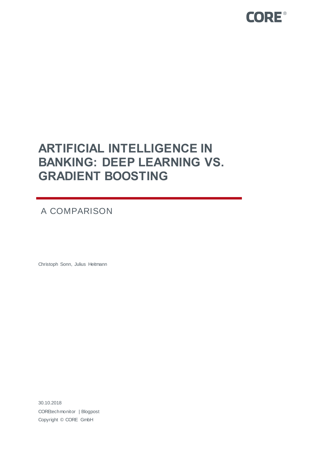

# **ARTIFICIAL INTELLIGENCE IN BANKING: DEEP LEARNING VS. GRADIENT BOOSTING**

A COMPARISON

Christoph Sonn, Julius Heitmann

30.10.2018 COREtechmonitor | Blogpost Copyright © CORE GmbH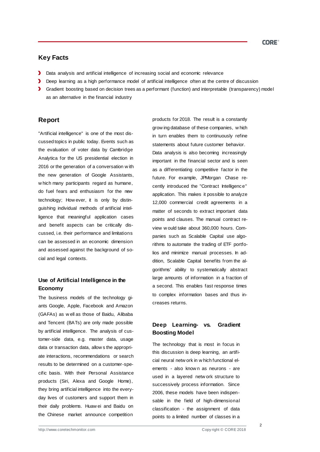# **Key Facts**

- **Data analysis and artificial intelligence of increasing social and economic relevance**
- Deep learning as a high performance model of artificial intelligence often at the centre of discussion
- Gradient boosting based on decision trees as a performant (function) and interpretable (transparency) model as an alternative in the financial industry

## **Report**

"Artificial intelligence" is one of the most discussed topics in public today. Events such as the evaluation of voter data by Cambridge Analytica for the US presidential election in 2016 or the generation of a conversation w ith the new generation of Google Assistants, w hich many participants regard as humane, do fuel fears and enthusiasm for the new technology; How ever, it is only by distinguishing individual methods of artificial intelligence that meaningful application cases and benefit aspects can be critically discussed, i.e. their performance and limitations can be assessed in an economic dimension and assessed against the background of social and legal contexts.

# **Use of Artificial Intelligence in the Economy**

The business models of the technology giants Google, Apple, Facebook and Amazon (GAFAs) as w ell as those of Baidu, Alibaba and Tencent (BATs) are only made possible by artificial intelligence. The analysis of customer-side data, e.g. master data, usage data or transaction data, allow s the appropriate interactions, recommendations or search results to be determined on a customer-specific basis. With their Personal Assistance products (Siri, Alexa and Google Home), they bring artificial intelligence into the everyday lives of customers and support them in their daily problems. Huaw ei and Baidu on the Chinese market announce competition

products for 2018. The result is a constantly grow ing database of these companies, w hich in turn enables them to continuously refine statements about future customer behavior. Data analysis is also becoming increasingly important in the financial sector and is seen as a differentiating competitive factor in the future. For example, JPMorgan Chase recently introduced the "Contract Intelligence" application. This makes it possible to analyze 12,000 commercial credit agreements in a matter of seconds to extract important data points and clauses. The manual contract review w ould take about 360,000 hours. Companies such as Scalable Capital use algorithms to automate the trading of ETF portfolios and minimize manual processes. In addition, Scalable Capital benefits from the algorithms' ability to systematically abstract large amounts of information in a fraction of a second. This enables fast response times to complex information bases and thus increases returns.

# **Deep Learning- vs. Gradient Boosting Model**

The technology that is most in focus in this discussion is deep learning, an artificial neural netw ork in w hich functional elements - also know n as neurons - are used in a layered netw ork structure to successively process information. Since 2006, these models have been indispensable in the field of high-dimensional classification - the assignment of data points to a limited number of classes in a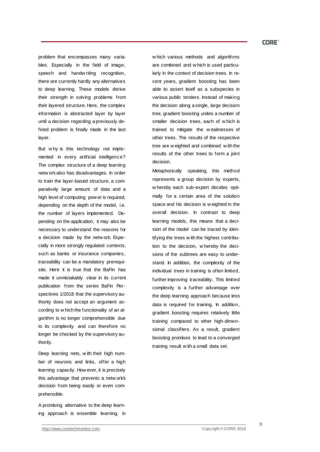#### **CORE<sup>®</sup>**

problem that encompasses many variables. Especially in the field of image, speech and handw riting recognition, there are currently hardly any alternatives to deep learning. These models derive their strength in solving problems from their layered structure. Here, the complex information is abstracted layer by layer until a decision regarding a previously defined problem is finally made in the last layer.

But w hy is this technology not implemented in every artificial intelligence? The complex structure of a deep learning netw ork also has disadvantages. In order to train the layer-based structure, a comparatively large amount of data and a high level of computing pow er is required, depending on the depth of the model, i.e. the number of layers implemented. Depending on the application, it may also be necessary to understand the reasons for a decision made by the netw ork. Especially in more strongly regulated contexts, such as banks or insurance companies, traceability can be a mandatory prerequisite. Here it is true that the BaFin has made it unmistakably clear in its current publication from the series BaFin Perspectives 1/2018 that the supervisory authority does not accept an argument according to w hich the functionality of an algorithm is no longer comprehensible due to its complexity and can therefore no longer be checked by the supervisory authority.

Deep learning nets, w ith their high number of neurons and links, offer a high learning capacity. How ever, it is precisely this advantage that prevents a netw ork's decision from being easily or even comprehensible.

A promising alternative to the deep learning approach is ensemble learning, in w hich various methods and algorithms are combined and w hich is used particularly in the context of decision trees. In recent years, gradient boosting has been able to assert itself as a subspecies in various public tenders. Instead of making the decision along a single, large decision tree, gradient boosting unites a number of smaller decision trees, each of w hich is trained to mitigate the w eaknesses of other trees. The results of the respective tree are w eighted and combined w ith the results of the other trees to form a joint decision.

Metaphorically speaking, this method represents a group decision by experts, w hereby each sub-expert decides optimally for a certain area of the solution space and his decision is w eighted in the overall decision. In contrast to deep learning models, this means that a decision of the model can be traced by identifying the trees w ith the highest contribution to the decision, w hereby the decisions of the subtrees are easy to understand. In addition, the complexity of the individual trees in training is often limited, further improving traceability. This limited complexity is a further advantage over the deep learning approach because less data is required for training. In addition, gradient boosting requires relatively little training compared to other high-dimensional classifiers. As a result, gradient boosting promises to lead to a converged training result w ith a small data set.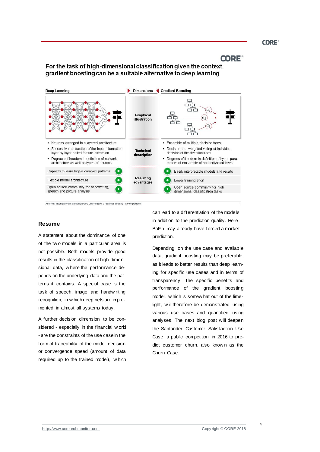**CORE®** 

# **CORE**<sup>®</sup>

# For the task of high-dimensional classification given the context gradient boosting can be a suitable alternative to deep learning



#### **Resume**

A statement about the dominance of one of the tw o models in a particular area is not possible. Both models provide good results in the classification of high-dimensional data, w here the performance depends on the underlying data and the patterns it contains. A special case is the task of speech, image and handw riting recognition, in w hich deep nets are implemented in almost all systems today.

A further decision dimension to be considered - especially in the financial w orld - are the constraints of the use case in the form of traceability of the model decision or convergence speed (amount of data required up to the trained model), w hich

can lead to a differentiation of the models in addition to the prediction quality. Here, BaFin may already have forced a market prediction.

Depending on the use case and available data, gradient boosting may be preferable, as it leads to better results than deep learning for specific use cases and in terms of transparency. The specific benefits and performance of the gradient boosting model, w hich is somew hat out of the limelight, w ill therefore be demonstrated using various use cases and quantified using analyses. The next blog post w ill deepen the Santander Customer Satisfaction Use Case, a public competition in 2016 to predict customer churn, also know n as the Churn Case.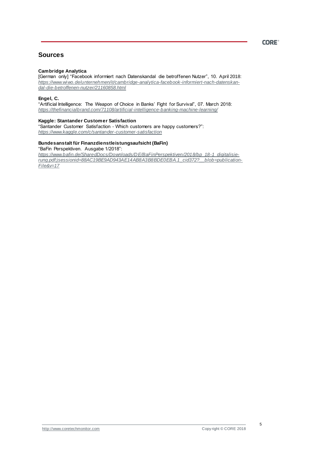

# **Sources**

#### **Cambridge Analytica**

[German only] "Facebook informiert nach Datenskandal die betroffenen Nutzer", 10. April 2018: *[https://www.wi wo.de/unternehmen/it/cambridge-analytica-facebook-informiert-nach-datenskan](https://www.wiwo.de/unternehmen/it/cambridge-analytica-facebook-informiert-nach-datenskandal-die-betroffenen-nutzer/21160858.html)[dal-die-betroffenen-nutzer/21160858.html](https://www.wiwo.de/unternehmen/it/cambridge-analytica-facebook-informiert-nach-datenskandal-die-betroffenen-nutzer/21160858.html)*

#### **Engel, C.**

"Artificial Intelligence: The Weapon of Choice in Banks' Fight for Survival", 07. March 2018: *<https://thefinancialbrand.com/71108/artificial-intelligence-banking-machine-learning/>*

#### **Kaggle: Stantander Customer Satisfaction**

"Santander Customer Satisfaction - Which customers are happy customers?": *<https://www.kaggle.com/c/santander-customer-satisfaction>*

#### **Bundesanstalt für Finanzdienstleistungsaufsicht (BaFin)**

"BaFin Perspektiven. Ausgabe 1/2018":

*[https://www.bafin.de/SharedDocs/Downloads/DE/BaFinPerspektiven/2018/bp\\_18-1\\_digitalisie](https://www.bafin.de/SharedDocs/Downloads/DE/BaFinPerspektiven/2018/bp_18-1_digitalisierung.pdf;jsessionid=88AC19BE9AD943AE14AB8A3B8BDE0EBA.1_cid372?__blob=publicationFile&v=17)[rung.pdf;jsessionid=88AC19BE9AD943AE14AB8A3B8BDE0EBA.1\\_cid372?\\_\\_blob=publication-](https://www.bafin.de/SharedDocs/Downloads/DE/BaFinPerspektiven/2018/bp_18-1_digitalisierung.pdf;jsessionid=88AC19BE9AD943AE14AB8A3B8BDE0EBA.1_cid372?__blob=publicationFile&v=17)[File&v=17](https://www.bafin.de/SharedDocs/Downloads/DE/BaFinPerspektiven/2018/bp_18-1_digitalisierung.pdf;jsessionid=88AC19BE9AD943AE14AB8A3B8BDE0EBA.1_cid372?__blob=publicationFile&v=17)*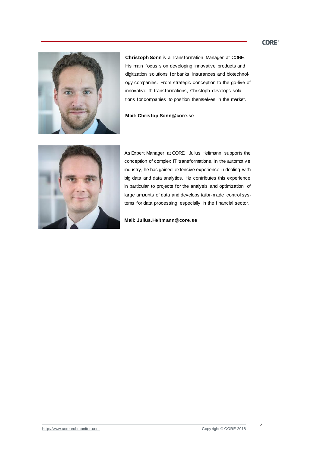### **CORE<sup>®</sup>**



**Christoph Sonn** is a Transformation Manager at CORE. His main focus is on developing innovative products and digitization solutions for banks, insurances and biotechnology companies. From strategic conception to the go-live of innovative IT transformations, Christoph develops solutions for companies to position themselves in the market.

#### **Mail: Christop.Sonn@core.se**



As Expert Manager at CORE, Julius Heitmann supports the conception of complex IT transformations. In the automotive industry, he has gained extensive experience in dealing w ith big data and data analytics. He contributes this experience in particular to projects for the analysis and optimization of large amounts of data and develops tailor-made control systems for data processing, especially in the financial sector.

**Mail: Julius.Heitmann@core.se**